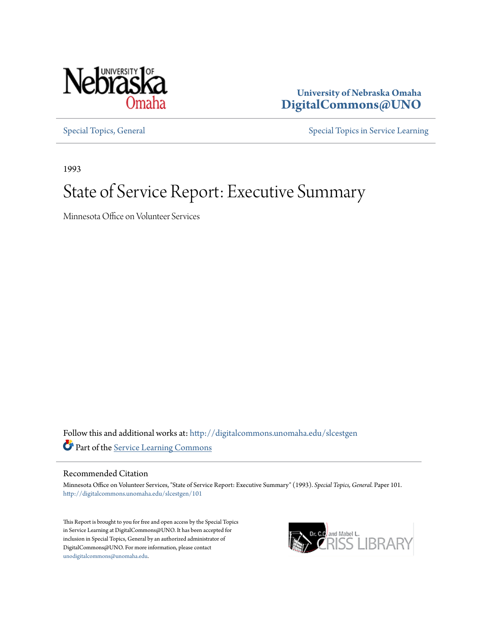

**University of Nebraska Omaha [DigitalCommons@UNO](http://digitalcommons.unomaha.edu?utm_source=digitalcommons.unomaha.edu%2Fslcestgen%2F101&utm_medium=PDF&utm_campaign=PDFCoverPages)**

[Special Topics, General](http://digitalcommons.unomaha.edu/slcestgen?utm_source=digitalcommons.unomaha.edu%2Fslcestgen%2F101&utm_medium=PDF&utm_campaign=PDFCoverPages) [Special Topics in Service Learning](http://digitalcommons.unomaha.edu/slcespecialtopics?utm_source=digitalcommons.unomaha.edu%2Fslcestgen%2F101&utm_medium=PDF&utm_campaign=PDFCoverPages)

1993

# State of Service Report: Executive Summary

Minnesota Office on Volunteer Services

Follow this and additional works at: [http://digitalcommons.unomaha.edu/slcestgen](http://digitalcommons.unomaha.edu/slcestgen?utm_source=digitalcommons.unomaha.edu%2Fslcestgen%2F101&utm_medium=PDF&utm_campaign=PDFCoverPages) Part of the [Service Learning Commons](http://network.bepress.com/hgg/discipline/1024?utm_source=digitalcommons.unomaha.edu%2Fslcestgen%2F101&utm_medium=PDF&utm_campaign=PDFCoverPages)

#### Recommended Citation

Minnesota Office on Volunteer Services, "State of Service Report: Executive Summary" (1993). *Special Topics, General.* Paper 101. [http://digitalcommons.unomaha.edu/slcestgen/101](http://digitalcommons.unomaha.edu/slcestgen/101?utm_source=digitalcommons.unomaha.edu%2Fslcestgen%2F101&utm_medium=PDF&utm_campaign=PDFCoverPages)

This Report is brought to you for free and open access by the Special Topics in Service Learning at DigitalCommons@UNO. It has been accepted for inclusion in Special Topics, General by an authorized administrator of DigitalCommons@UNO. For more information, please contact [unodigitalcommons@unomaha.edu](mailto:unodigitalcommons@unomaha.edu).

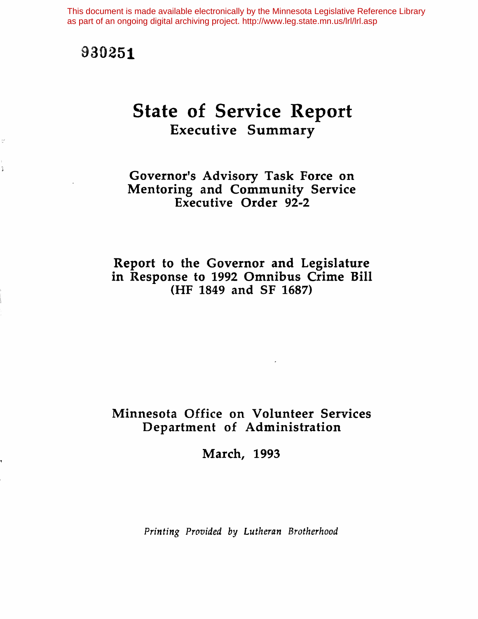This document is made available electronically by the Minnesota Legislative Reference Library as part of an ongoing digital archiving project. http://www.leg.state.mn.us/lrl/lrl.asp

# 930251

 $\frac{d\bar{q}}{d\bar{q}}$ 

 $\tilde{\mathcal{L}}$ 

# State of Service Report Executive Summary

# Governor's Advisory Task Force on Mentoring and Community Service Executive Order 92-2

# Report to the Governor and Legislature in Response to 1992 Omnibus Crime Bill (HF 1849 and SF 1687)

# Minnesota Office on Volunteer Services Department of Administration

March, 1993

*Printing Provided* by *Lutheran Brotherhood*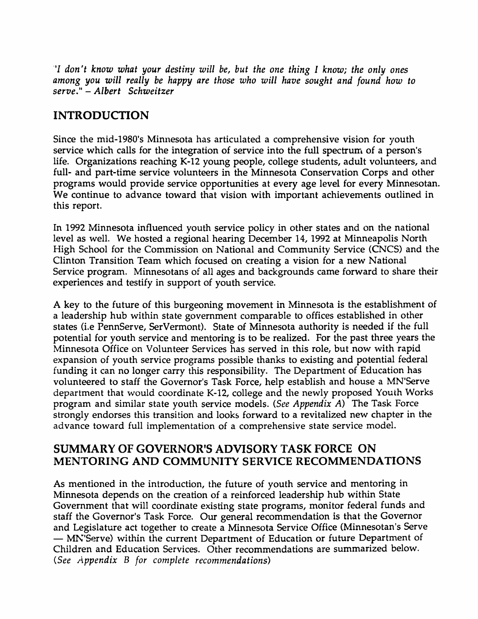"I *don 't know what your destiny will be, but the one thing* I *know; the only ones among you will really be happy are those who will have sought and found how* to *serve."* - *Albert Schweitzer*

# INTRODUCTION

Since the mid-1980's Minnesota has articulated a comprehensive vision for youth service which calls for the integration of service into the full spectrum of a person's life. Organizations reaching K-12 young people, college students, adult volunteers, and full- and part-time service volunteers in the Minnesota Conservation Corps and other programs would provide service opportunities at every age level for every Minnesotan. We continue to advance toward that vision with important achievements outlined in this report.

In 1992 Minnesota influenced youth service policy in other states and on the national level as well. We hosted a regional hearing December 14, 1992 at Minneapolis North High School for the Commission on National and Community Service (CNCS) and the Clinton Transition Team which focused on creating a vision for a new National Service program. Minnesotans of all ages and backgrounds came forward to share their experiences and testify in support of youth service.

A key to the future of this burgeoning movement in Minnesota is the establishment of a leadership hub within state government comparable to offices established in other states (i.e PennServe, SerVermont). State of Minnesota authority is needed if the full potential for youth service and mentoring is to be realized. For the past three years the Minnesota Office on Volunteer Services has served in this role, but now with rapid expansion of youth service programs possible thanks to existing and potential federal funding it can no longer carry this responsibility. The Department of Education has volunteered to staff the Governor's Task Force, help establish and house a MN'Serve department that would coordinate K-12, college and the newly proposed Youth Works program and similar state youth service models. *(See Appendix A)* The Task Force strongly endorses this transition and looks forward to a revitalized new chapter in the advance toward full implementation of a comprehensive state service model.

# SUMMARY OF GOVERNOR'S ADVISORY TASK FORCE ON MENTORING AND COMMUNITY SERVICE RECOMMENDATIONS

As mentioned in the introduction, the future of youth service and mentoring in Minnesota depends on the creation of a reinforced leadership hub within State Government that will coordinate existing state programs, monitor federal funds and staff the Governor's Task Force. Our general recommendation is that the Governor and Legislature act together to create a Minnesota Service Office (Minnesotan's Serve - MN'Serve) within the current Department of Education or future Department of Children and Education Services. Other recommendations are summarized below. *(See Appendix* B *for complete recommendations)*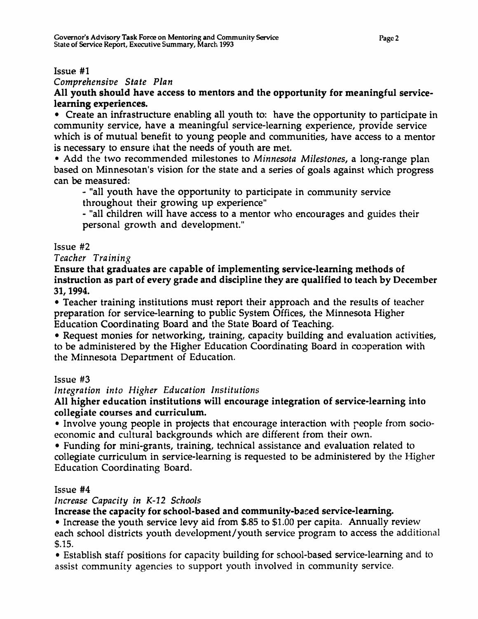### Issue #1

*Comprehensive State Plan*

All youth should have access to mentors and the opportunity for meaningful servicelearning experiences.

• Create an infrastructure enabling all youth to: have the opportunity to participate in community service, have a meaningful service-learning experience, provide service which is of mutual benefit to young people and communities, have access to a mentor is necessary to ensure that the needs of youth are met.

• Add the two recommended milestones to *Minnesota Milestones,* a long-range plan based on Minnesotan's vision for the state and a series of goals against which progress can be measured:

- "all youth have the opportunity to participate in community service throughout their growing up experience"

- "all children will have access to a mentor who encourages and guides their personal growth and development."

# Issue #2

## *Teacher Training*

Ensure that graduates are capable of implementing service-learning methods of instruction as part of every grade and discipline they are qualified to teach by December 31, 1994.

• Teacher training institutions must report their approach and the results of teacher preparation for service-learning to public System Offices, the Minnesota Higher Education Coordinating Board and the State Board of Teaching.

• Request monies for networking, training, capacity building and evaluation activities, to be administered by the Higher Education Coordinating Board in copperation with the Minnesota Department of Education.

Issue #3

*Integration into Higher Education Institutions*

# All higher education institutions will encourage integration of service-learning into collegiate courses and curriculum.

• Involve young people in projects that encourage interaction with reople from socioeconomic and cultural backgrounds which are different from their own.

• Funding for mini-grants, training, technical assistance and evaluation related to collegiate curriculum in service-learning is requested to be administered by the Higher Education Coordinating Board.

## Issue #4

## *Increase Capacity in K-12 Schools*

Increase the capacity for school-based and community-baced service-learning.

• Increase the youth service levy aid from \$.85 to \$1.00 per capita. Annually review each school districts youth development/youth service program to access the additional \$.15.

• Establish staff positions for capacity building for school-based service-learning and to assist community agencies to support youth involved in community service.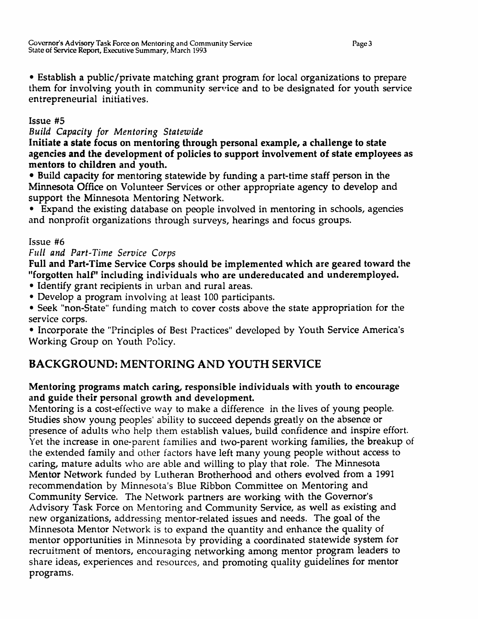Page 3

• Establish a public/private matching grant program for local organizations to prepare them for involving youth in community service and to be designated for youth service entrepreneurial initiatives.

# Issue #5

*Build Capacity for Mentoring Statewide*

Initiate a state focus on mentoring through personal example, a challenge to state agencies and the development of policies to support involvement of state employees as mentors to children and youth.

• Build capacity for mentoring statewide by funding a part-time staff person in the Minnesota Office on Volunteer Services or other appropriate agency to develop and support the Minnesota Mentoring Network.

• Expand the existing database on people involved in mentoring in schools, agencies and nonprofit organizations through surveys, hearings and focus groups.

# Issue #6

# *Full and Part-Time Service Corps*

Full and Part-Time Service Corps should be implemented which are geared toward the "forgotten half" including individuals who are undereducated and underemployed.

• Identify grant recipients in urban and rural areas.

• Develop a program involving at least 100 participants.

• Seek "non-State" funding match to cover costs above the state appropriation for the service corps.

• Incorporate the "Principles of Best Practices" developed by Youth Service America's Working Group on Youth Policy.

# BACKGROUND: MENTORING AND YOUTH SERVICE

# Mentoring programs match caring, responsible individuals with youth to encourage and guide their personal growth and development.

Mentoring is a cost-effective way to make a difference in the lives of young people. Studies show young peoples' ability to succeed depends greatly on the absence or presence of adults who help them establish values, build confidence and inspire effort. Yet the increase in one-parent families and two-parent working families, the breakup of the extended family and other factors have left many young people without access to caring, mature aduits who are able and willing to play that role. The Minnesota Mentor Network funded by Lutheran Brotherhood and others evolved from a 1991 recommendation by Minnesota's Blue Ribbon Committee on Mentoring and Community Service. The Network partners are working with the Governor's Advisory Task Force on Mentoring and Community Service, as well as existing and new organizations, addressing mentor-related issues and needs. The goal of the Minnesota Mentor Network is to expand the quantity and enhance the quality of mentor opportunities in Minnesota by providing a coordinated statewide system for recruitment of mentors, encouraging networking among mentor program leaders to share ideas, experiences and resources, and promoting quality guidelines for mentor programs.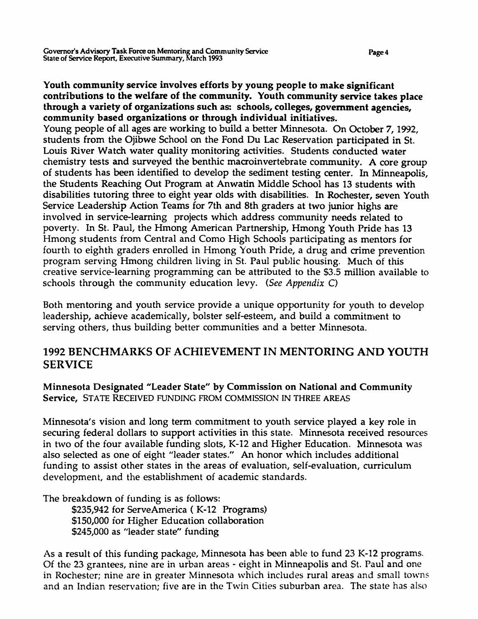Youth community service involves efforts by young people to make significant contributions to the welfare of the community. Youth community service takes place through a variety of organizations such as: schools, colleges, government agencies, community based organizations or through individual initiatives.

Young people of all ages are working to build a better Minnesota. On October 7, 1992, students from the Ojibwe School on the Fond Du Lac Reservation participated in St. Louis River Watch water quality monitoring activities. Students conducted water chemistry tests and surveyed the benthic macroinvertebrate community. A core group of students has been identified to develop the sediment testing center. In Minneapolis, the Students Reaching Out Program at Anwatin Middle School has 13 students with disabilities tutoring three to eight year olds with disabilities. In Rochester, seven Youth Service Leadership Action Teams for 7th and 8th graders at two junior highs are involved in service-learning projects which address community needs related to poverty. In St. Paul, the Hmong American Partnership, Hmong Youth Pride has 13 Hmong students from Central and Como High Schools participating as mentors for fourth to eighth graders enrolled in Hmong Youth Pride, a drug and crime prevention program serving Hmong children living in St. Paul public housing. Much of this creative service-learning programming can be attributed to the \$3.5 million available to schools through the community education levy. (See Appendix C)

Both mentoring and youth service provide a unique opportunity for youth to develop leadership, achieve academically, bolster self-esteem, and build a commitment to serving others, thus building better communities and a better Minnesota.

# 1992 BENCHMARKS OF ACHIEVEMENT IN MENTORING AND YOUTH SERVICE

Minnesota Designated "Leader State" by Commission on National and Community Service, STATE RECEIVED FUNDING FROM COMMISSION IN THREE AREAS

Minnesota's vision and long term commitment to youth service played a key role in securing federal dollars to support activities in this state. Minnesota received resources in two of the four available funding slots, K-12 and Higher Education. Minnesota was also selected as one of eight "leader states." An honor which includes additional funding to assist other states in the areas of evaluation, self-evaluation, curriculum development, and the establishment of academic standards.

The breakdown of funding is as follows:

\$235,942 for ServeAmerica (K-12 Programs) \$150,000 for Higher Education collaboration \$245,000 as "leader state" funding

As a result of this funding package, Minnesota has been able to fund 23 K-12 programs. Of the 23 grantees, nine are in urban areas - eight in Minneapolis and St. Paul and one in Rochester; nine are in greater Minnesota which includes rural areas and small towns and an Indian reservation; five are in the Twin Cities suburban area. The state has also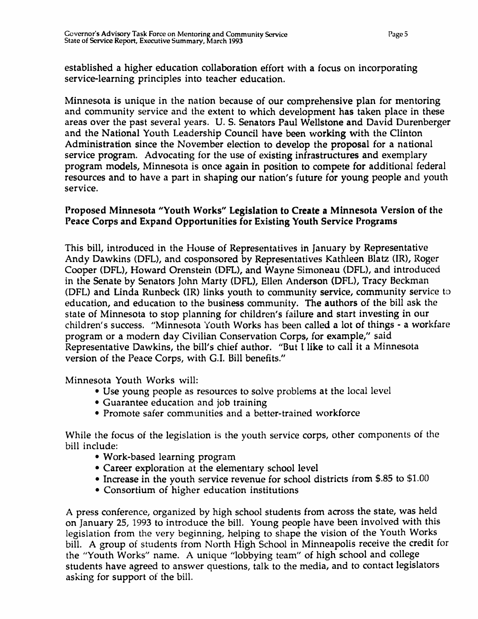established a higher education collaboration effort with a focus on incorporating service-learning principles into teacher education.

Minnesota is unique in the nation because of our comprehensive plan for rnentoring and community service and the extent to which development has taken place in these areas over the past several years. U. S. Senators Paul Wellstone and David Durenberger and the National Youth Leadership Council have been working with the Clinton Administration since the November election to develop the proposal for a national service program. Advocating for the use of existing infrastructures and exemplary program models, Minnesota is once again in position to compete for additional federal resources and to have a part in shaping our nation's future for young people and youth service.

# Proposed Minnesota "Youth Works" Legislation to Create a Minnesota Version of the Peace Corps and Expand Opportunities for Existing Youth Service Programs

This bill, introduced in the House of Representatives in January by Representative Andy Dawkins (DFL), and cosponsored by Representatives Kathleen Blatz (IR), Roger Cooper (DFL), Howard Orenstein (DFL), and Wayne Simoneau (DFL), and introduced in the Senate by Senators John Marty (DFL), Ellen Anderson (OFL), Tracy Beckman (DFL) and Linda Runbeck (IR) links youth to community service, community service to education, and education to the business community. The authors of the bill ask the state of Minnesota to stop planning for children's failure and start investing in our children's success. "Minnesota Youth Works has been called a lot of things - a workfare program or a modern day Civilian Conservation Corps, for example," said Representative Dawkins, the bill's chief author. "But I like to call it a Minnesota version of the Peace Corps, with G.I. Bill benefits."

Minnesota Youth Works will:

- Use young people as resources to solve problems at the local level
- Guarantee education and job training
- Promote safer communities and a better-trained workforce

While the focus of the legislation is the youth service corps, other components of the bill include:

- Work-based learning program
- Career exploration at the elementary school level
- Increase in the youth service revenue for school districts from \$.85 to \$1.00
- Consortium of higher education institutions

A press conference, organized by high school students from across the state, was held on January 25, 1993 to introduce the bill. Young people have been involved with this legislation from the very beginning, helping to shape the vision of the Youth Works bill. A group of students from North High School in Minneapolis receive the credit for the "Youth Works" name. A unique "lobbying team" of high school and college students have agreed to answer questions, talk to the media, and to contact legislators asking for support of the bill.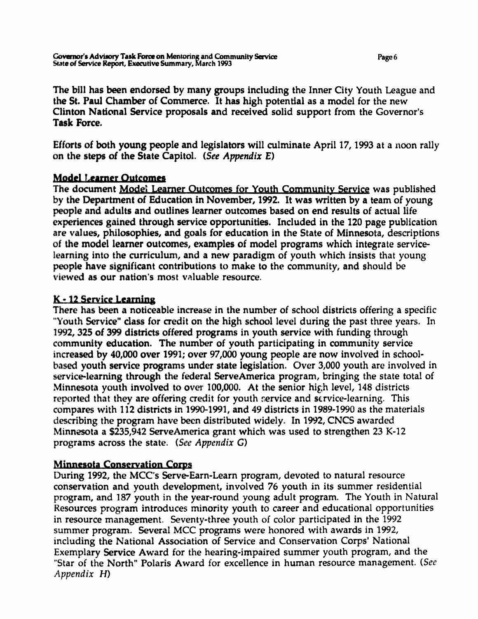The bill has been endorsed by many groups including the Inner City Youth League and the St. Paul Chamber of Commerce. It has high potential as a model for the new Clinton National Service proposals and received solid support from the Governor's Task Force.

Efforts of both young people and legislators will culminate April 17, 1993 at a noon rally on the steps of the State Capitol. (See Appendix  $E$ )

# **Model Learner Outcomes**

The document Model Learner Outcomes for Youth Community Service was published by the Department of Education in November, 1992. It was written by a team of young people and adults and outlines learner outcomes based on end results of actual life experiences gained through service opportunities. Included in the 120 page publication are values, philosophies, and goals for education in the State of Minnesota, descriptions of the model learner outcomes, examples of model programs which integrate servicelearning into the curriculum, and a new paradigm of youth which insists that young people have significant contributions to make to the community, and should be  $v$ iewed as our nation's most valuable resource.

# K - 12 Service Learning

There has been a noticeable increase in the number of school districts offering a specific "Youth Service" class for credit on the high school level during the past three years. In 1992,325 of 399 districts offered programs in youth service with funding through community education. The number of youth participating in community service increased by 40,000 over 1991; over 97,000 young people are now involved in schoolbased youth service programs under state legislation. Over 3,000 youth are involved in service-learning through the federal ServeAmerica program, bringing the state total of Minnesota youth involved to over 100,000. At the senior high level, 148 districts reported that they are offering credit for youth service and service-learning. This compares with 112 districts in 1990-1991, and 49 districts in 1989-1990 as the materials describing the program have been distributed widely. In 1992, CNCS awarded Minnesota a \$235,942 ServeAmerica grant which was used to strengthen 23 K-12 programs across the state. (See Appendix G)

# Minnesota Conservation Corps

During 1992, the MCC's Serve-Earn-Learn program, devoted to natural resource conservation and youth development, involved 76 youth in its summer residential program, and 187 youth in the year-round young adult program. The Youth in Natural Resources program introduces minority youth to career and educational opportunities in resource management. Seventy-three youth of color participated in the 1992 summer program. Several MCC programs were honored with awards in 1992, including the National Association of Service and Conservation Corps' National Exemplary Service Award for the hearing-impaired summer youth program, and the "Star of the North" Polaris Award for excellence in human resource management. (See Appendix H)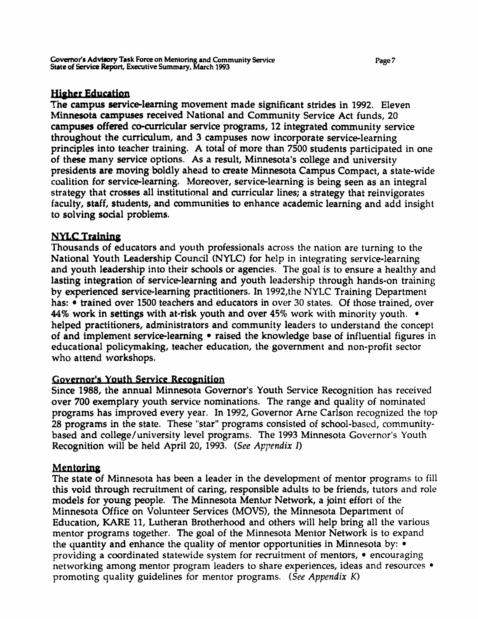# Higher Education

The campus service-learning movement made significant strides in 1992. Eleven Minnesota campuses received National and Community Service Act funds, 20 campuses offered co-curricular service programs, 12 integrated community service throughout the curriculum, and 3 campuses now incorporate service-learning principles into teacher training. A total of more than 7500 students participated in one of these many service options. As a result, Minnesota's college and university presidents are moving boldly ahead to create Minnesota Campus Compact, a state-wide coalition for service-learning. Moreover, service-learning is being seen as an integral strategy that crosses all institutional and curricular lines; a strategy that reinvigorates faculty, staff, students, and communities to enhance academic learning and add insight to solving sodal problems.

# **NYLC Training**

Thousands of educators and youth professionals across the nation are turning to the National Youth Leadership Council (NYLC) for help in integrating service-learning and youth leadership into their schools or agencies. The goal is to ensure a healthy and lasting integration of service-learning and youth leadership through hands-on training by experienced service-learning practitioners. In 1992,the NYLC Training Department has: • trained over 1500 teachers and educators in over 30 states. Of those trained, over *44'0* work in settings with at-risk youth and over 45% work with minority youth. • helped practitioners, administrators and community leaders to understand the concept of and implement service-learning • raised the knowledge base of influential figures in educational policymaking, teacher education, the government and non-profit sector who attend workshops.

## Governor's Youth Service Recognition

Since 1988, the annual Minnesota Governor's Youth Service Recognition has received over 700 exemplary youth service nominations. The range and quality of nominated programs has improved every year. In 1992, Governor Arne Carlson recognized the top 28 programs in the state. These "star" programs consisted of school-based, communitybased and college/university level programs. The 1993 Minnesota Governor's Youth Recognition will be held April 20, 1993. (See Appendix *1)*

# Mentoring

The state of Minnesota has been a leader in the development of mentor programs to fill this void through recruitment of caring, responsible adults to be friends, tutors and role models for young people. The Minnesota Mentor Network, a joint effort of the Minnesota Office on Volunteer Services (MOVS), the Minnesota Department of Education, KARE 11, Lutheran Brotherhood and others will help bring all the various mentor programs together. The goal of the Minnesota Mentor Network is to expand the quantity and enhance the quality of mentor opportunities in Minnesota by: • providing a coordinated statewide system for recruitment of mentors, • encouraging networking among mentor program leaders to share experiences, ideas and resources • promoting quality guidelines for mentor programs. (See Appendix K)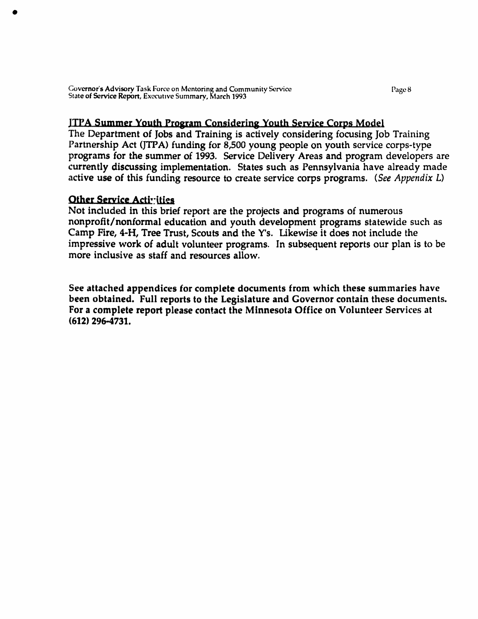Gov**ernor's Advisory** Task Force on Mentoring and Community Service Page 8 (1996) Page 8<br>Stat**e of Service Report, E**xecutive Sum<mark>mary, March 1993</mark> (1993)

#### lIrA Summer Youth Program Considering Youth Service Corps Model

The Department of Jobs and Training is actively considering focusing Job Training Partnership Act (JTPA) funding for 8,500 young people on youth service corps-type programs for the summer of 1993. Service Delivery Areas and program developers are currently discussing implementation. States such as Pennsylvania have already made active use of this funding resource to create service corps programs. (See Appendix L)

#### Other Service Activities

Not included in this brief report are the projects and programs of numerous nonprofit/nonformal education and youth development programs statewide such as Camp Fire, 4-H, Tree Trust, Scouts and the V's. Likewise it does not include the impressive work of adult volunteer programs. In subsequent reports our plan is to be more inclusive as staff and resources allow.

See attached appendices for complete documents from which these summaries have been obtained. Full reports to the Legislature and Governor contain these documents. For a complete report please contact the Minnesota Office on Volunteer Services at (612) 296-4731.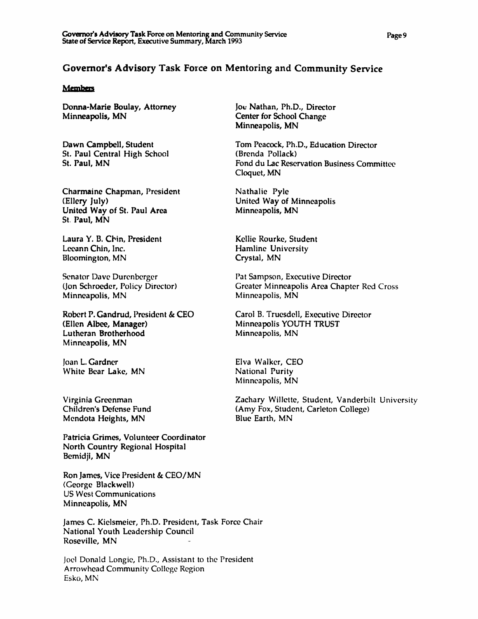### Governor's Advisory Task Force on Mentoring and Community Service

#### **Members**

Donna-Marie Boulay, Attomey Minneapolis, MN

Dawn Campbell, Student St. Paul Central High School St. Paul, MN

Charmaine Chapman, President (Ellery July) United Way of St. Paul Area St. Paul, MN

Laura Y. B. Chin, President Lccann Chin, Inc. Bloomington, MN

Senator Dave Durenbcrgcr (jon Schroeder, Policy Director) Minneapolis, MN

Robert P. Gandrud, President & CEO (Ellen Albee, Manager) Lutheran Brotherhood Minneapolis, MN

Joan L. Gardner White Bear Lake, MN

Virginia Greenman Children's Defense Fund Mendota Heights, MN

Patricia Grimes, Volunteer Coordinator North Country Regional Hospital Bemidji, MN

Ron James, Vice President & CEO/MN (George Blackwell) US West Communications Minneapolis, MN

James C. Kielsmeier, Ph.D. President, Task Force Chair National Youth Leadership Council Roseville, MN

Joel Donald Longie, Ph.D., Assistant to the President Arrowhead Community College Region Esko, MN

Joe Nathan, Ph.D., Director Center for School Change Minneapolis, MN

Tom Peacock, Ph.D., Education Director (Brenda Pollack) Fond du Lac Reservation Business Committee Cloquet, MN

Nathalie Pyle United Way of Minneapolis Minneapolis, MN

Kellie Rourke, Student Hamline University Crystal, MN

Pat Sampson, Executive Director Greater Minneapolis Area Chapter Red Cross Minneapolis, MN

Carol B. Truesdell, Executive Director Minneapolis YOUTH TRUST Minneapolis, MN

Elva Walker, CEO National Purity Minneapolis, MN

Zachary Willette, Student, Vanderbilt University (Amy Fox, Student, Carleton College) Blue Earth, MN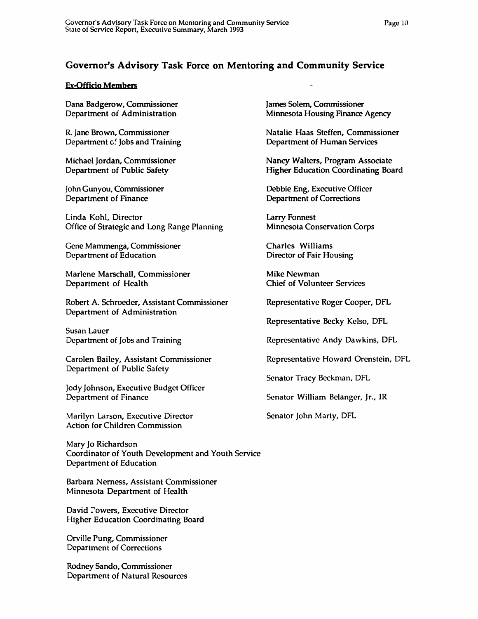# Governor's Advisory Task Force on Mentoring and Community Service

#### Ex-Officio Members

Dana Badgerow, Commissioner Department of Administration

R. Jane Brown, Commissioner Department c. Jobs and Training

Michael Jordan, Commissioner Department of Public Safety

John Gunyou, Commissioner Department of Finance

Linda Kohl, Director Office of Strategic and Long Range Planning

Gene Mammenga, Commissioner Department of Education

Marlene Marschall, Commissioner Department of Health

Robert A. Schroeder, Assistant Commissioner Department of Administration

Susan Lauer Department of Jobs and Training

Carolen Bailey, Assistant Commissioner Department of Public Safety

Jody Johnson, Executive Budget Officer Department of Finance

Marilyn Larson, Executive Director Action for Children Commission

Mary Jo Richardson Coordinator of Youth Development and Youth Service Department of Education

Barbara Nemess, Assistant Commissioner Minnesota Department of Health

David Towers, Executive Director Higher Education Coordinating Board

Orville Pung, Commissioner Department of Corrections

Rodney Sando, Commissioner Department of Natural Resources James Solem, Commissioner Minnesota Housing Finance Agency

Natalie Haas Steffen, Commissioner Department of Human Services

Nancy Walters, Program Associate Higher Education Coordinating Board

Debbie Eng, Executive Officer Department of Corrections

Larry Fonnest Minnesota Conservation Corps

Charles Williams Director of Fair Housing

Mike Newman Chief of Volunteer Services

Representative Roger Cooper, DFL

Representative Becky Kelso, DFL

Representative Andy Dawkins, DFL

Representative Howard Orenstein, DFL

Senator Tracy Beckman, DFL

Senator William Belanger, Jr., IR

Senator John Marty, DFL